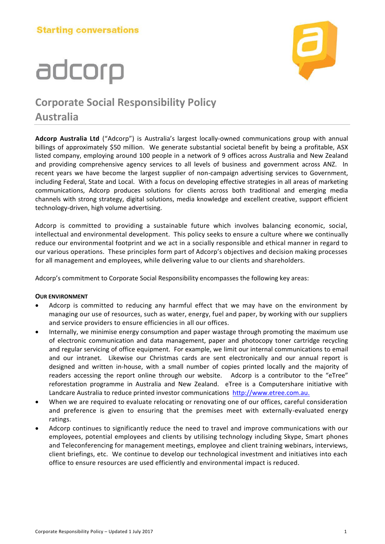# adcorp



### **Corporate Social Responsibility Policy Australia**

**Adcorp Australia Ltd** ("Adcorp") is Australia's largest locally-owned communications group with annual billings of approximately \$50 million. We generate substantial societal benefit by being a profitable, ASX listed company, employing around 100 people in a network of 9 offices across Australia and New Zealand and providing comprehensive agency services to all levels of business and government across ANZ. In recent years we have become the largest supplier of non-campaign advertising services to Government, including Federal, State and Local. With a focus on developing effective strategies in all areas of marketing communications, Adcorp produces solutions for clients across both traditional and emerging media channels with strong strategy, digital solutions, media knowledge and excellent creative, support efficient technology-driven, high volume advertising.

Adcorp is committed to providing a sustainable future which involves balancing economic, social, intellectual and environmental development. This policy seeks to ensure a culture where we continually reduce our environmental footprint and we act in a socially responsible and ethical manner in regard to our various operations. These principles form part of Adcorp's objectives and decision making processes for all management and employees, while delivering value to our clients and shareholders.

Adcorp's commitment to Corporate Social Responsibility encompasses the following key areas:

#### **OUR ENVIRONMENT**

- Adcorp is committed to reducing any harmful effect that we may have on the environment by managing our use of resources, such as water, energy, fuel and paper, by working with our suppliers and service providers to ensure efficiencies in all our offices.
- Internally, we minimise energy consumption and paper wastage through promoting the maximum use of electronic communication and data management, paper and photocopy toner cartridge recycling and regular servicing of office equipment. For example, we limit our internal communications to email and our intranet. Likewise our Christmas cards are sent electronically and our annual report is designed and written in-house, with a small number of copies printed locally and the majority of readers accessing the report online through our website. Adcorp is a contributor to the "eTree" reforestation programme in Australia and New Zealand. eTree is a Computershare initiative with Landcare Australia to reduce printed investor communications [http://www.etree.com.au.](http://www.etree.com.au/)
- When we are required to evaluate relocating or renovating one of our offices, careful consideration and preference is given to ensuring that the premises meet with externally-evaluated energy ratings.
- Adcorp continues to significantly reduce the need to travel and improve communications with our employees, potential employees and clients by utilising technology including Skype, Smart phones and Teleconferencing for management meetings, employee and client training webinars, interviews, client briefings, etc. We continue to develop our technological investment and initiatives into each office to ensure resources are used efficiently and environmental impact is reduced.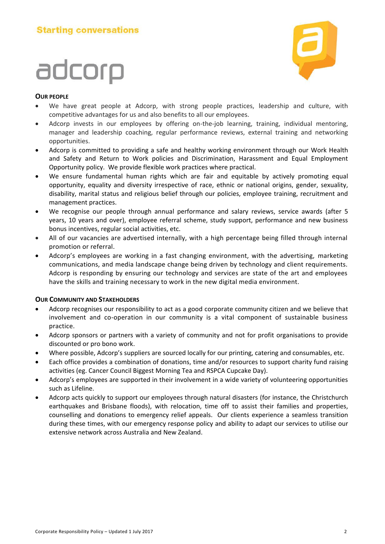# adcorp



#### **OUR PEOPLE**

- We have great people at Adcorp, with strong people practices, leadership and culture, with competitive advantages for us and also benefits to all our employees.
- Adcorp invests in our employees by offering on-the-job learning, training, individual mentoring, manager and leadership coaching, regular performance reviews, external training and networking opportunities.
- Adcorp is committed to providing a safe and healthy working environment through our Work Health and Safety and Return to Work policies and Discrimination, Harassment and Equal Employment Opportunity policy. We provide flexible work practices where practical.
- We ensure fundamental human rights which are fair and equitable by actively promoting equal opportunity, equality and diversity irrespective of race, ethnic or national origins, gender, sexuality, disability, marital status and religious belief through our policies, employee training, recruitment and management practices.
- We recognise our people through annual performance and salary reviews, service awards (after 5 years, 10 years and over), employee referral scheme, study support, performance and new business bonus incentives, regular social activities, etc.
- All of our vacancies are advertised internally, with a high percentage being filled through internal promotion or referral.
- Adcorp's employees are working in a fast changing environment, with the advertising, marketing communications, and media landscape change being driven by technology and client requirements. Adcorp is responding by ensuring our technology and services are state of the art and employees have the skills and training necessary to work in the new digital media environment.

#### **OUR COMMUNITY AND STAKEHOLDERS**

- Adcorp recognises our responsibility to act as a good corporate community citizen and we believe that involvement and co-operation in our community is a vital component of sustainable business practice.
- Adcorp sponsors or partners with a variety of community and not for profit organisations to provide discounted or pro bono work.
- Where possible, Adcorp's suppliers are sourced locally for our printing, catering and consumables, etc.
- Each office provides a combination of donations, time and/or resources to support charity fund raising activities (eg. Cancer Council Biggest Morning Tea and RSPCA Cupcake Day).
- Adcorp's employees are supported in their involvement in a wide variety of volunteering opportunities such as Lifeline.
- Adcorp acts quickly to support our employees through natural disasters (for instance, the Christchurch earthquakes and Brisbane floods), with relocation, time off to assist their families and properties, counselling and donations to emergency relief appeals. Our clients experience a seamless transition during these times, with our emergency response policy and ability to adapt our services to utilise our extensive network across Australia and New Zealand.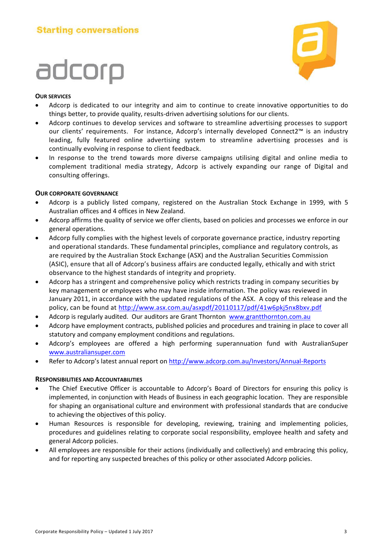# adcorp



#### **OUR SERVICES**

- Adcorp is dedicated to our integrity and aim to continue to create innovative opportunities to do things better, to provide quality, results-driven advertising solutions for our clients.
- Adcorp continues to develop services and software to streamline advertising processes to support our clients' requirements. For instance, Adcorp's internally developed Connect2™ is an industry leading, fully featured online advertising system to streamline advertising processes and is continually evolving in response to client feedback.
- In response to the trend towards more diverse campaigns utilising digital and online media to complement traditional media strategy, Adcorp is actively expanding our range of Digital and consulting offerings.

#### **OUR CORPORATE GOVERNANCE**

- Adcorp is a publicly listed company, registered on the Australian Stock Exchange in 1999, with 5 Australian offices and 4 offices in New Zealand.
- Adcorp affirms the quality of service we offer clients, based on policies and processes we enforce in our general operations.
- Adcorp fully complies with the highest levels of corporate governance practice, industry reporting and operational standards. These fundamental principles, compliance and regulatory controls, as are required by the Australian Stock Exchange (ASX) and the Australian Securities Commission (ASIC), ensure that all of Adcorp's business affairs are conducted legally, ethically and with strict observance to the highest standards of integrity and propriety.
- Adcorp has a stringent and comprehensive policy which restricts trading in company securities by key management or employees who may have inside information. The policy was reviewed in January 2011, in accordance with the updated regulations of the ASX. A copy of this release and the policy, can be found at<http://www.asx.com.au/asxpdf/20110117/pdf/41w6pkj5nx8bxv.pdf>
- Adcorp is regularly audited. Our auditors are Grant Thornton [www.grantthornton.com.au](http://www.grantthornton.com.au/)
- Adcorp have employment contracts, published policies and procedures and training in place to cover all statutory and company employment conditions and regulations.
- Adcorp's employees are offered a high performing superannuation fund with AustralianSuper [www.australiansuper.com](http://www.australiansuper.com/)
- Refer to Adcorp's latest annual report on <http://www.adcorp.com.au/Investors/Annual-Reports>

#### **RESPONSIBILITIES AND ACCOUNTABILITIES**

- The Chief Executive Officer is accountable to Adcorp's Board of Directors for ensuring this policy is implemented, in conjunction with Heads of Business in each geographic location. They are responsible for shaping an organisational culture and environment with professional standards that are conducive to achieving the objectives of this policy.
- Human Resources is responsible for developing, reviewing, training and implementing policies, procedures and guidelines relating to corporate social responsibility, employee health and safety and general Adcorp policies.
- All employees are responsible for their actions (individually and collectively) and embracing this policy, and for reporting any suspected breaches of this policy or other associated Adcorp policies.